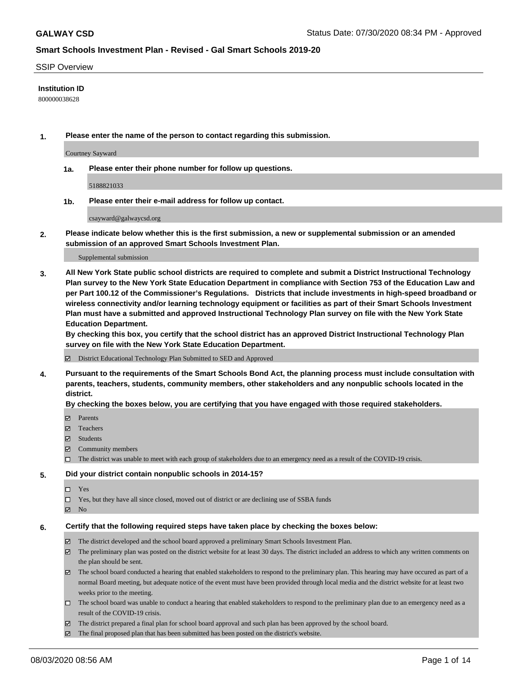### SSIP Overview

### **Institution ID**

800000038628

**1. Please enter the name of the person to contact regarding this submission.**

Courtney Sayward

**1a. Please enter their phone number for follow up questions.**

5188821033

**1b. Please enter their e-mail address for follow up contact.**

csayward@galwaycsd.org

**2. Please indicate below whether this is the first submission, a new or supplemental submission or an amended submission of an approved Smart Schools Investment Plan.**

#### Supplemental submission

**3. All New York State public school districts are required to complete and submit a District Instructional Technology Plan survey to the New York State Education Department in compliance with Section 753 of the Education Law and per Part 100.12 of the Commissioner's Regulations. Districts that include investments in high-speed broadband or wireless connectivity and/or learning technology equipment or facilities as part of their Smart Schools Investment Plan must have a submitted and approved Instructional Technology Plan survey on file with the New York State Education Department.** 

**By checking this box, you certify that the school district has an approved District Instructional Technology Plan survey on file with the New York State Education Department.**

District Educational Technology Plan Submitted to SED and Approved

**4. Pursuant to the requirements of the Smart Schools Bond Act, the planning process must include consultation with parents, teachers, students, community members, other stakeholders and any nonpublic schools located in the district.** 

#### **By checking the boxes below, you are certifying that you have engaged with those required stakeholders.**

- **□** Parents
- Teachers
- Students
- $\boxtimes$  Community members
- The district was unable to meet with each group of stakeholders due to an emergency need as a result of the COVID-19 crisis.

#### **5. Did your district contain nonpublic schools in 2014-15?**

- $\neg$  Yes
- Yes, but they have all since closed, moved out of district or are declining use of SSBA funds
- **Z** No

#### **6. Certify that the following required steps have taken place by checking the boxes below:**

- The district developed and the school board approved a preliminary Smart Schools Investment Plan.
- $\boxtimes$  The preliminary plan was posted on the district website for at least 30 days. The district included an address to which any written comments on the plan should be sent.
- $\boxtimes$  The school board conducted a hearing that enabled stakeholders to respond to the preliminary plan. This hearing may have occured as part of a normal Board meeting, but adequate notice of the event must have been provided through local media and the district website for at least two weeks prior to the meeting.
- The school board was unable to conduct a hearing that enabled stakeholders to respond to the preliminary plan due to an emergency need as a result of the COVID-19 crisis.
- The district prepared a final plan for school board approval and such plan has been approved by the school board.
- $\boxtimes$  The final proposed plan that has been submitted has been posted on the district's website.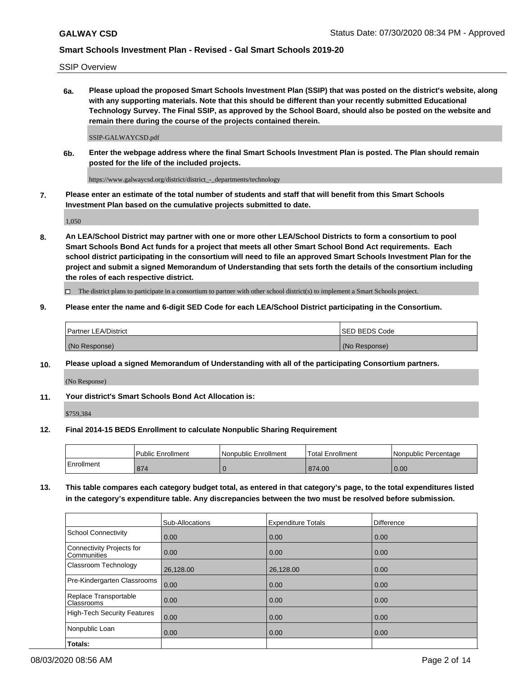SSIP Overview

**6a. Please upload the proposed Smart Schools Investment Plan (SSIP) that was posted on the district's website, along with any supporting materials. Note that this should be different than your recently submitted Educational Technology Survey. The Final SSIP, as approved by the School Board, should also be posted on the website and remain there during the course of the projects contained therein.**

SSIP-GALWAYCSD.pdf

**6b. Enter the webpage address where the final Smart Schools Investment Plan is posted. The Plan should remain posted for the life of the included projects.**

https://www.galwaycsd.org/district/district\_-\_departments/technology

**7. Please enter an estimate of the total number of students and staff that will benefit from this Smart Schools Investment Plan based on the cumulative projects submitted to date.**

1,050

**8. An LEA/School District may partner with one or more other LEA/School Districts to form a consortium to pool Smart Schools Bond Act funds for a project that meets all other Smart School Bond Act requirements. Each school district participating in the consortium will need to file an approved Smart Schools Investment Plan for the project and submit a signed Memorandum of Understanding that sets forth the details of the consortium including the roles of each respective district.**

 $\Box$  The district plans to participate in a consortium to partner with other school district(s) to implement a Smart Schools project.

### **9. Please enter the name and 6-digit SED Code for each LEA/School District participating in the Consortium.**

| <b>Partner LEA/District</b> | ISED BEDS Code |
|-----------------------------|----------------|
| (No Response)               | (No Response)  |

### **10. Please upload a signed Memorandum of Understanding with all of the participating Consortium partners.**

(No Response)

**11. Your district's Smart Schools Bond Act Allocation is:**

\$759,384

#### **12. Final 2014-15 BEDS Enrollment to calculate Nonpublic Sharing Requirement**

|            | Public Enrollment | Nonpublic Enrollment | Total Enrollment | I Nonpublic Percentage |
|------------|-------------------|----------------------|------------------|------------------------|
| Enrollment | 874               |                      | 874.00           | 0.00                   |

**13. This table compares each category budget total, as entered in that category's page, to the total expenditures listed in the category's expenditure table. Any discrepancies between the two must be resolved before submission.**

|                                          | Sub-Allocations | <b>Expenditure Totals</b> | <b>Difference</b> |
|------------------------------------------|-----------------|---------------------------|-------------------|
| <b>School Connectivity</b>               | 0.00            | 0.00                      | 0.00              |
| Connectivity Projects for<br>Communities | 0.00            | 0.00                      | 0.00              |
| Classroom Technology                     | 26,128.00       | 26,128.00                 | 0.00              |
| Pre-Kindergarten Classrooms              | 0.00            | 0.00                      | 0.00              |
| Replace Transportable<br>Classrooms      | 0.00            | 0.00                      | 0.00              |
| <b>High-Tech Security Features</b>       | 0.00            | 0.00                      | 0.00              |
| Nonpublic Loan                           | 0.00            | 0.00                      | 0.00              |
| Totals:                                  |                 |                           |                   |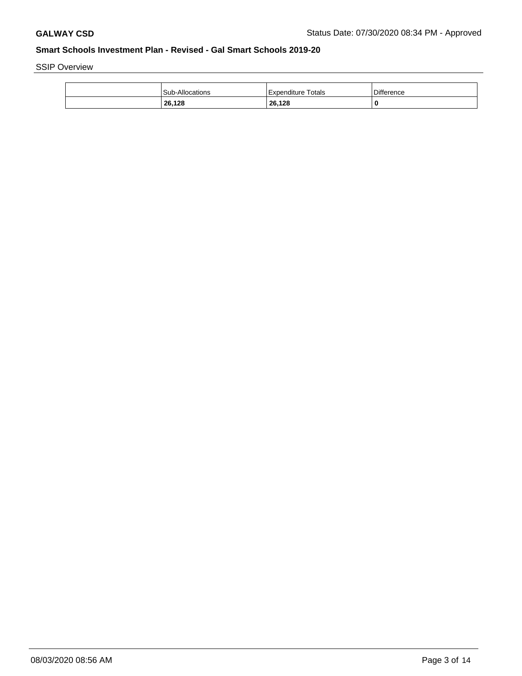SSIP Overview

| <b>Sub-Allocations</b> | Expenditure Totals | <b>Difference</b> |
|------------------------|--------------------|-------------------|
| 26,128<br>____         | 26,128             | 0                 |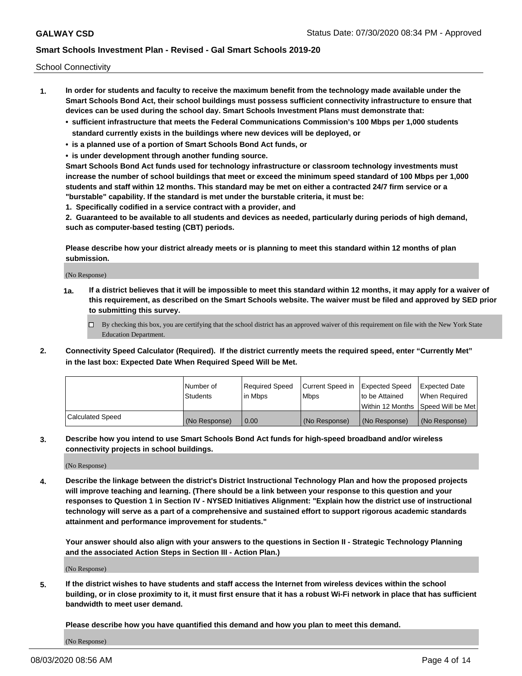School Connectivity

- **1. In order for students and faculty to receive the maximum benefit from the technology made available under the Smart Schools Bond Act, their school buildings must possess sufficient connectivity infrastructure to ensure that devices can be used during the school day. Smart Schools Investment Plans must demonstrate that:**
	- **• sufficient infrastructure that meets the Federal Communications Commission's 100 Mbps per 1,000 students standard currently exists in the buildings where new devices will be deployed, or**
	- **• is a planned use of a portion of Smart Schools Bond Act funds, or**
	- **• is under development through another funding source.**

**Smart Schools Bond Act funds used for technology infrastructure or classroom technology investments must increase the number of school buildings that meet or exceed the minimum speed standard of 100 Mbps per 1,000 students and staff within 12 months. This standard may be met on either a contracted 24/7 firm service or a "burstable" capability. If the standard is met under the burstable criteria, it must be:**

**1. Specifically codified in a service contract with a provider, and**

**2. Guaranteed to be available to all students and devices as needed, particularly during periods of high demand, such as computer-based testing (CBT) periods.**

**Please describe how your district already meets or is planning to meet this standard within 12 months of plan submission.**

(No Response)

**1a. If a district believes that it will be impossible to meet this standard within 12 months, it may apply for a waiver of this requirement, as described on the Smart Schools website. The waiver must be filed and approved by SED prior to submitting this survey.**

 $\Box$  By checking this box, you are certifying that the school district has an approved waiver of this requirement on file with the New York State Education Department.

**2. Connectivity Speed Calculator (Required). If the district currently meets the required speed, enter "Currently Met" in the last box: Expected Date When Required Speed Will be Met.**

|                  | l Number of     | Required Speed | Current Speed in | Expected Speed | Expected Date                           |
|------------------|-----------------|----------------|------------------|----------------|-----------------------------------------|
|                  | <b>Students</b> | In Mbps        | l Mbps           | to be Attained | When Required                           |
|                  |                 |                |                  |                | l Within 12 Months ISpeed Will be Met l |
| Calculated Speed | (No Response)   | 0.00           | (No Response)    | (No Response)  | (No Response)                           |

**3. Describe how you intend to use Smart Schools Bond Act funds for high-speed broadband and/or wireless connectivity projects in school buildings.**

(No Response)

**4. Describe the linkage between the district's District Instructional Technology Plan and how the proposed projects will improve teaching and learning. (There should be a link between your response to this question and your responses to Question 1 in Section IV - NYSED Initiatives Alignment: "Explain how the district use of instructional technology will serve as a part of a comprehensive and sustained effort to support rigorous academic standards attainment and performance improvement for students."** 

**Your answer should also align with your answers to the questions in Section II - Strategic Technology Planning and the associated Action Steps in Section III - Action Plan.)**

(No Response)

**5. If the district wishes to have students and staff access the Internet from wireless devices within the school building, or in close proximity to it, it must first ensure that it has a robust Wi-Fi network in place that has sufficient bandwidth to meet user demand.**

**Please describe how you have quantified this demand and how you plan to meet this demand.**

(No Response)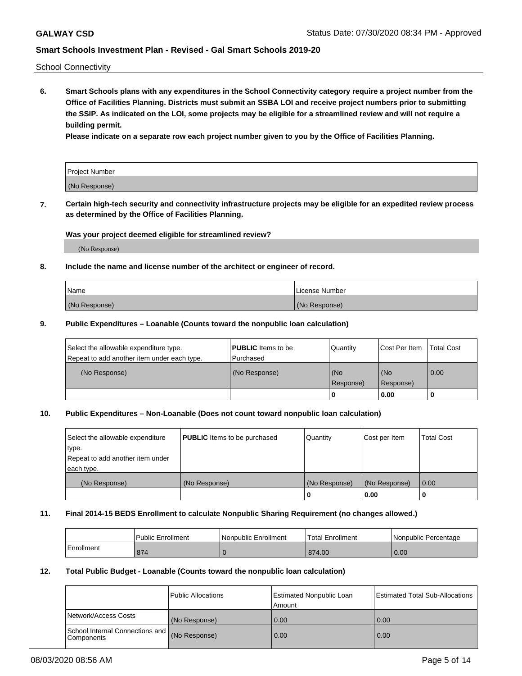School Connectivity

**6. Smart Schools plans with any expenditures in the School Connectivity category require a project number from the Office of Facilities Planning. Districts must submit an SSBA LOI and receive project numbers prior to submitting the SSIP. As indicated on the LOI, some projects may be eligible for a streamlined review and will not require a building permit.**

**Please indicate on a separate row each project number given to you by the Office of Facilities Planning.**

| Project Number |  |
|----------------|--|
| (No Response)  |  |

**7. Certain high-tech security and connectivity infrastructure projects may be eligible for an expedited review process as determined by the Office of Facilities Planning.**

## **Was your project deemed eligible for streamlined review?**

(No Response)

### **8. Include the name and license number of the architect or engineer of record.**

| l Name        | License Number |
|---------------|----------------|
| (No Response) | (No Response)  |

### **9. Public Expenditures – Loanable (Counts toward the nonpublic loan calculation)**

| Select the allowable expenditure type.<br>Repeat to add another item under each type. | <b>PUBLIC</b> Items to be<br>l Purchased | Quantity         | l Cost Per Item  | <b>Total Cost</b> |
|---------------------------------------------------------------------------------------|------------------------------------------|------------------|------------------|-------------------|
| (No Response)                                                                         | (No Response)                            | (No<br>Response) | (No<br>Response) | 0.00              |
|                                                                                       |                                          | 0                | 0.00             |                   |

## **10. Public Expenditures – Non-Loanable (Does not count toward nonpublic loan calculation)**

| Select the allowable expenditure<br>type.<br>Repeat to add another item under<br>each type. | <b>PUBLIC</b> Items to be purchased | Quantity      | Cost per Item | <b>Total Cost</b> |
|---------------------------------------------------------------------------------------------|-------------------------------------|---------------|---------------|-------------------|
| (No Response)                                                                               | (No Response)                       | (No Response) | (No Response) | 0.00              |
|                                                                                             |                                     |               | 0.00          |                   |

#### **11. Final 2014-15 BEDS Enrollment to calculate Nonpublic Sharing Requirement (no changes allowed.)**

|            | Public Enrollment | Nonpublic Enrollment | 'Total Enrollment | l Nonpublic Percentage |
|------------|-------------------|----------------------|-------------------|------------------------|
| Enrollment | 874               |                      | 874.00            | 0.00                   |

### **12. Total Public Budget - Loanable (Counts toward the nonpublic loan calculation)**

|                                                      | Public Allocations | <b>Estimated Nonpublic Loan</b><br>Amount | Estimated Total Sub-Allocations |
|------------------------------------------------------|--------------------|-------------------------------------------|---------------------------------|
| Network/Access Costs                                 | (No Response)      | 0.00                                      | 0.00                            |
| School Internal Connections and<br><b>Components</b> | (No Response)      | 0.00                                      | 0.00                            |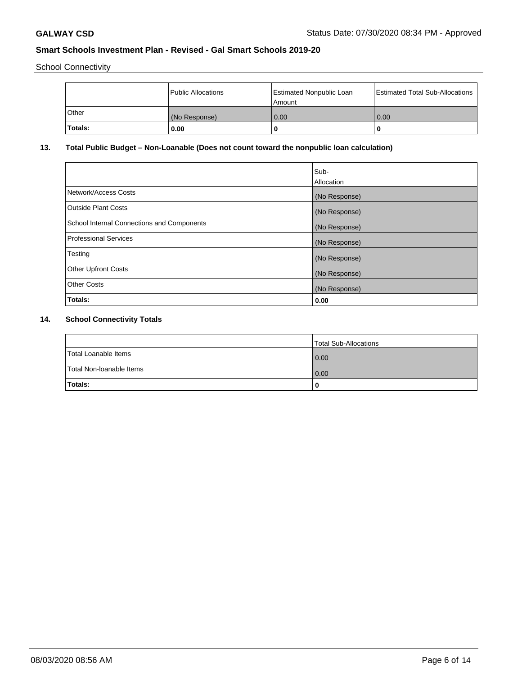School Connectivity

|         | Public Allocations | <b>Estimated Nonpublic Loan</b><br>l Amount | <b>Estimated Total Sub-Allocations</b> |
|---------|--------------------|---------------------------------------------|----------------------------------------|
| l Other | (No Response)      | 0.00                                        | 0.00                                   |
| Totals: | 0.00               | 0                                           |                                        |

# **13. Total Public Budget – Non-Loanable (Does not count toward the nonpublic loan calculation)**

|                                                   | Sub-<br>Allocation |
|---------------------------------------------------|--------------------|
|                                                   |                    |
| Network/Access Costs                              | (No Response)      |
| <b>Outside Plant Costs</b>                        | (No Response)      |
| <b>School Internal Connections and Components</b> | (No Response)      |
| Professional Services                             | (No Response)      |
| Testing                                           | (No Response)      |
| <b>Other Upfront Costs</b>                        | (No Response)      |
| <b>Other Costs</b>                                | (No Response)      |
| <b>Totals:</b>                                    | 0.00               |

# **14. School Connectivity Totals**

|                          | Total Sub-Allocations |
|--------------------------|-----------------------|
| Total Loanable Items     | 0.00                  |
| Total Non-Ioanable Items | 0.00                  |
| Totals:                  | 0                     |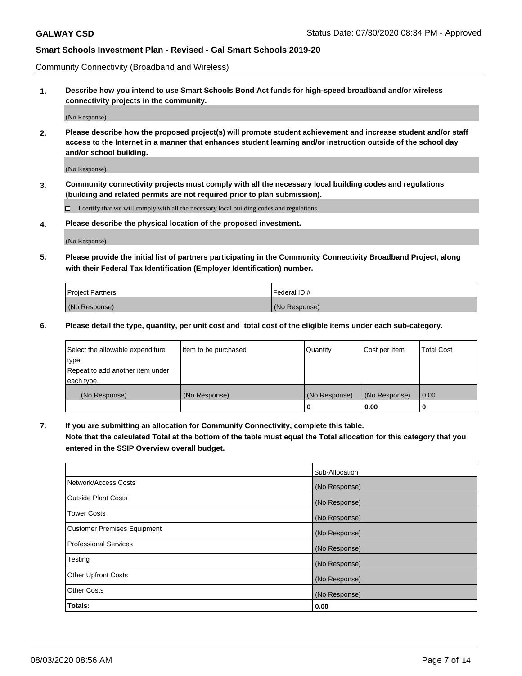Community Connectivity (Broadband and Wireless)

**1. Describe how you intend to use Smart Schools Bond Act funds for high-speed broadband and/or wireless connectivity projects in the community.**

(No Response)

**2. Please describe how the proposed project(s) will promote student achievement and increase student and/or staff access to the Internet in a manner that enhances student learning and/or instruction outside of the school day and/or school building.**

(No Response)

**3. Community connectivity projects must comply with all the necessary local building codes and regulations (building and related permits are not required prior to plan submission).**

 $\Box$  I certify that we will comply with all the necessary local building codes and regulations.

**4. Please describe the physical location of the proposed investment.**

(No Response)

**5. Please provide the initial list of partners participating in the Community Connectivity Broadband Project, along with their Federal Tax Identification (Employer Identification) number.**

| <b>Project Partners</b> | l Federal ID # |
|-------------------------|----------------|
| (No Response)           | (No Response)  |

**6. Please detail the type, quantity, per unit cost and total cost of the eligible items under each sub-category.**

| Select the allowable expenditure | Item to be purchased | Quantity      | Cost per Item | <b>Total Cost</b> |
|----------------------------------|----------------------|---------------|---------------|-------------------|
| type.                            |                      |               |               |                   |
| Repeat to add another item under |                      |               |               |                   |
| each type.                       |                      |               |               |                   |
| (No Response)                    | (No Response)        | (No Response) | (No Response) | 0.00              |
|                                  |                      | o             | 0.00          |                   |

**7. If you are submitting an allocation for Community Connectivity, complete this table.**

**Note that the calculated Total at the bottom of the table must equal the Total allocation for this category that you entered in the SSIP Overview overall budget.**

|                                    | Sub-Allocation |
|------------------------------------|----------------|
| Network/Access Costs               | (No Response)  |
| Outside Plant Costs                | (No Response)  |
| <b>Tower Costs</b>                 | (No Response)  |
| <b>Customer Premises Equipment</b> | (No Response)  |
| <b>Professional Services</b>       | (No Response)  |
| Testing                            | (No Response)  |
| <b>Other Upfront Costs</b>         | (No Response)  |
| <b>Other Costs</b>                 | (No Response)  |
| Totals:                            | 0.00           |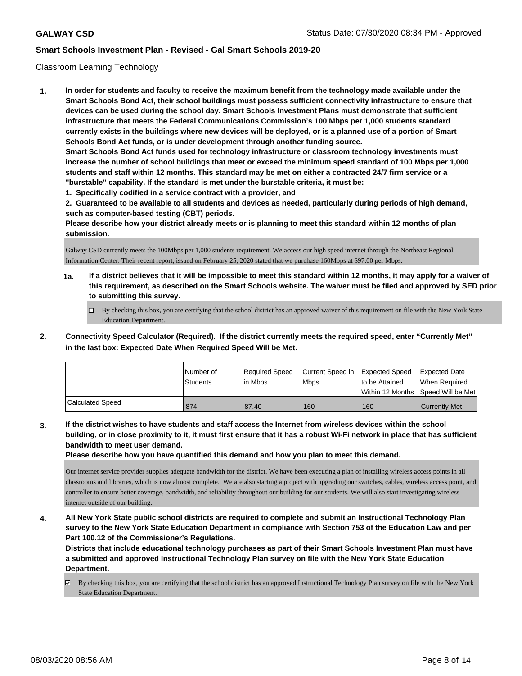### Classroom Learning Technology

**1. In order for students and faculty to receive the maximum benefit from the technology made available under the Smart Schools Bond Act, their school buildings must possess sufficient connectivity infrastructure to ensure that devices can be used during the school day. Smart Schools Investment Plans must demonstrate that sufficient infrastructure that meets the Federal Communications Commission's 100 Mbps per 1,000 students standard currently exists in the buildings where new devices will be deployed, or is a planned use of a portion of Smart Schools Bond Act funds, or is under development through another funding source. Smart Schools Bond Act funds used for technology infrastructure or classroom technology investments must increase the number of school buildings that meet or exceed the minimum speed standard of 100 Mbps per 1,000 students and staff within 12 months. This standard may be met on either a contracted 24/7 firm service or a "burstable" capability. If the standard is met under the burstable criteria, it must be:**

**1. Specifically codified in a service contract with a provider, and**

**2. Guaranteed to be available to all students and devices as needed, particularly during periods of high demand, such as computer-based testing (CBT) periods.**

**Please describe how your district already meets or is planning to meet this standard within 12 months of plan submission.**

Galway CSD currently meets the 100Mbps per 1,000 students requirement. We access our high speed internet through the Northeast Regional Information Center. Their recent report, issued on February 25, 2020 stated that we purchase 160Mbps at \$97.00 per Mbps.

- **1a. If a district believes that it will be impossible to meet this standard within 12 months, it may apply for a waiver of this requirement, as described on the Smart Schools website. The waiver must be filed and approved by SED prior to submitting this survey.**
	- By checking this box, you are certifying that the school district has an approved waiver of this requirement on file with the New York State Education Department.
- **2. Connectivity Speed Calculator (Required). If the district currently meets the required speed, enter "Currently Met" in the last box: Expected Date When Required Speed Will be Met.**

|                  | INumber of<br><b>Students</b> | Required Speed<br>l in Mbps | Current Speed in Expected Speed<br>l Mbps | Ito be Attained | Expected Date<br>When Required<br>Within 12 Months Speed Will be Met |
|------------------|-------------------------------|-----------------------------|-------------------------------------------|-----------------|----------------------------------------------------------------------|
| Calculated Speed | 874                           | 87.40                       | 160                                       | 160             | <b>Currently Met</b>                                                 |

**3. If the district wishes to have students and staff access the Internet from wireless devices within the school building, or in close proximity to it, it must first ensure that it has a robust Wi-Fi network in place that has sufficient bandwidth to meet user demand.**

**Please describe how you have quantified this demand and how you plan to meet this demand.**

Our internet service provider supplies adequate bandwidth for the district. We have been executing a plan of installing wireless access points in all classrooms and libraries, which is now almost complete. We are also starting a project with upgrading our switches, cables, wireless access point, and controller to ensure better coverage, bandwidth, and reliability throughout our building for our students. We will also start investigating wireless internet outside of our building.

**4. All New York State public school districts are required to complete and submit an Instructional Technology Plan survey to the New York State Education Department in compliance with Section 753 of the Education Law and per Part 100.12 of the Commissioner's Regulations.**

**Districts that include educational technology purchases as part of their Smart Schools Investment Plan must have a submitted and approved Instructional Technology Plan survey on file with the New York State Education Department.**

By checking this box, you are certifying that the school district has an approved Instructional Technology Plan survey on file with the New York State Education Department.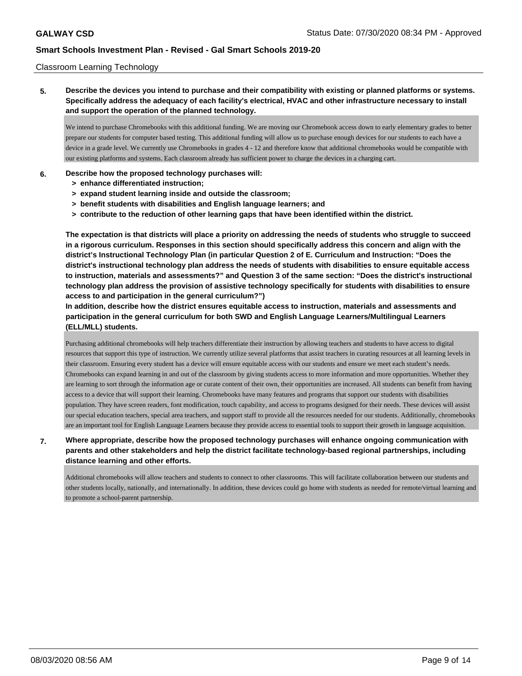### Classroom Learning Technology

**5. Describe the devices you intend to purchase and their compatibility with existing or planned platforms or systems. Specifically address the adequacy of each facility's electrical, HVAC and other infrastructure necessary to install and support the operation of the planned technology.**

We intend to purchase Chromebooks with this additional funding. We are moving our Chromebook access down to early elementary grades to better prepare our students for computer based testing. This additional funding will allow us to purchase enough devices for our students to each have a device in a grade level. We currently use Chromebooks in grades 4 - 12 and therefore know that additional chromebooks would be compatible with our existing platforms and systems. Each classroom already has sufficient power to charge the devices in a charging cart.

### **6. Describe how the proposed technology purchases will:**

- **> enhance differentiated instruction;**
- **> expand student learning inside and outside the classroom;**
- **> benefit students with disabilities and English language learners; and**
- **> contribute to the reduction of other learning gaps that have been identified within the district.**

**The expectation is that districts will place a priority on addressing the needs of students who struggle to succeed in a rigorous curriculum. Responses in this section should specifically address this concern and align with the district's Instructional Technology Plan (in particular Question 2 of E. Curriculum and Instruction: "Does the district's instructional technology plan address the needs of students with disabilities to ensure equitable access to instruction, materials and assessments?" and Question 3 of the same section: "Does the district's instructional technology plan address the provision of assistive technology specifically for students with disabilities to ensure access to and participation in the general curriculum?")**

**In addition, describe how the district ensures equitable access to instruction, materials and assessments and participation in the general curriculum for both SWD and English Language Learners/Multilingual Learners (ELL/MLL) students.**

Purchasing additional chromebooks will help teachers differentiate their instruction by allowing teachers and students to have access to digital resources that support this type of instruction. We currently utilize several platforms that assist teachers in curating resources at all learning levels in their classroom. Ensuring every student has a device will ensure equitable access with our students and ensure we meet each student's needs. Chromebooks can expand learning in and out of the classroom by giving students access to more information and more opportunities. Whether they are learning to sort through the information age or curate content of their own, their opportunities are increased. All students can benefit from having access to a device that will support their learning. Chromebooks have many features and programs that support our students with disabilities population. They have screen readers, font modification, touch capability, and access to programs designed for their needs. These devices will assist our special education teachers, special area teachers, and support staff to provide all the resources needed for our students. Additionally, chromebooks are an important tool for English Language Learners because they provide access to essential tools to support their growth in language acquisition.

## **7. Where appropriate, describe how the proposed technology purchases will enhance ongoing communication with parents and other stakeholders and help the district facilitate technology-based regional partnerships, including distance learning and other efforts.**

Additional chromebooks will allow teachers and students to connect to other classrooms. This will facilitate collaboration between our students and other students locally, nationally, and internationally. In addition, these devices could go home with students as needed for remote/virtual learning and to promote a school-parent partnership.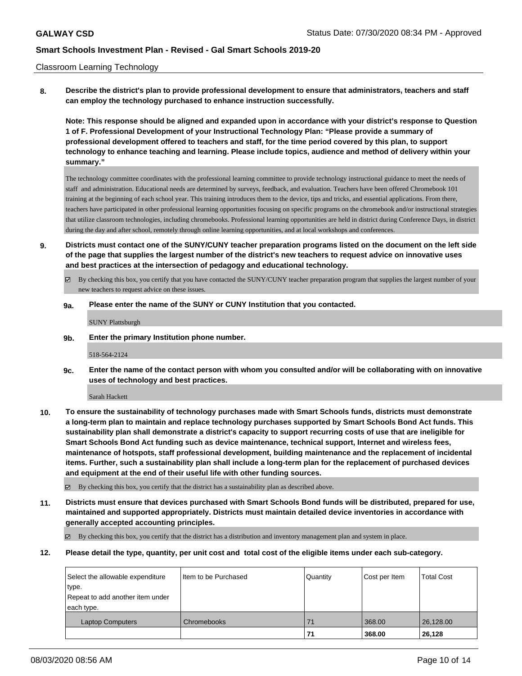### Classroom Learning Technology

**8. Describe the district's plan to provide professional development to ensure that administrators, teachers and staff can employ the technology purchased to enhance instruction successfully.**

**Note: This response should be aligned and expanded upon in accordance with your district's response to Question 1 of F. Professional Development of your Instructional Technology Plan: "Please provide a summary of professional development offered to teachers and staff, for the time period covered by this plan, to support technology to enhance teaching and learning. Please include topics, audience and method of delivery within your summary."**

The technology committee coordinates with the professional learning committee to provide technology instructional guidance to meet the needs of staff and administration. Educational needs are determined by surveys, feedback, and evaluation. Teachers have been offered Chromebook 101 training at the beginning of each school year. This training introduces them to the device, tips and tricks, and essential applications. From there, teachers have participated in other professional learning opportunities focusing on specific programs on the chromebook and/or instructional strategies that utilize classroom technologies, including chromebooks. Professional learning opportunities are held in district during Conference Days, in district during the day and after school, remotely through online learning opportunities, and at local workshops and conferences.

- **9. Districts must contact one of the SUNY/CUNY teacher preparation programs listed on the document on the left side of the page that supplies the largest number of the district's new teachers to request advice on innovative uses and best practices at the intersection of pedagogy and educational technology.**
	- $\boxtimes$  By checking this box, you certify that you have contacted the SUNY/CUNY teacher preparation program that supplies the largest number of your new teachers to request advice on these issues.
	- **9a. Please enter the name of the SUNY or CUNY Institution that you contacted.**

SUNY Plattsburgh

**9b. Enter the primary Institution phone number.**

518-564-2124

**9c. Enter the name of the contact person with whom you consulted and/or will be collaborating with on innovative uses of technology and best practices.**

Sarah Hackett

**10. To ensure the sustainability of technology purchases made with Smart Schools funds, districts must demonstrate a long-term plan to maintain and replace technology purchases supported by Smart Schools Bond Act funds. This sustainability plan shall demonstrate a district's capacity to support recurring costs of use that are ineligible for Smart Schools Bond Act funding such as device maintenance, technical support, Internet and wireless fees, maintenance of hotspots, staff professional development, building maintenance and the replacement of incidental items. Further, such a sustainability plan shall include a long-term plan for the replacement of purchased devices and equipment at the end of their useful life with other funding sources.**

By checking this box, you certify that the district has a sustainability plan as described above.

**11. Districts must ensure that devices purchased with Smart Schools Bond funds will be distributed, prepared for use, maintained and supported appropriately. Districts must maintain detailed device inventories in accordance with generally accepted accounting principles.**

 $\boxtimes$  By checking this box, you certify that the district has a distribution and inventory management plan and system in place.

**12. Please detail the type, quantity, per unit cost and total cost of the eligible items under each sub-category.**

| Select the allowable expenditure | I Item to be Purchased | Quantity | Cost per Item | <b>Total Cost</b> |
|----------------------------------|------------------------|----------|---------------|-------------------|
| type.                            |                        |          |               |                   |
| Repeat to add another item under |                        |          |               |                   |
| each type.                       |                        |          |               |                   |
| <b>Laptop Computers</b>          | Chromebooks            |          | 368.00        | 26,128.00         |
|                                  |                        | 71       | 368.00        | 26,128            |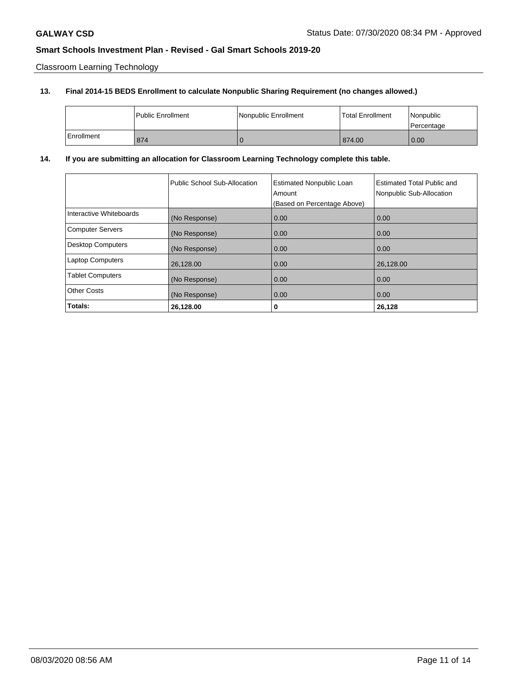Classroom Learning Technology

# **13. Final 2014-15 BEDS Enrollment to calculate Nonpublic Sharing Requirement (no changes allowed.)**

|            | <b>Public Enrollment</b> | Nonpublic Enrollment | <b>Total Enrollment</b> | l Nonpublic<br>l Percentage |
|------------|--------------------------|----------------------|-------------------------|-----------------------------|
| Enrollment | 874                      | v                    | 874.00                  | 0.00                        |

# **14. If you are submitting an allocation for Classroom Learning Technology complete this table.**

|                          | Public School Sub-Allocation | <b>Estimated Nonpublic Loan</b><br>Amount<br>(Based on Percentage Above) | <b>Estimated Total Public and</b><br>Nonpublic Sub-Allocation |
|--------------------------|------------------------------|--------------------------------------------------------------------------|---------------------------------------------------------------|
| Interactive Whiteboards  | (No Response)                | 0.00                                                                     | 0.00                                                          |
| <b>Computer Servers</b>  | (No Response)                | 0.00                                                                     | 0.00                                                          |
| <b>Desktop Computers</b> | (No Response)                | 0.00                                                                     | 0.00                                                          |
| <b>Laptop Computers</b>  | 26,128.00                    | 0.00                                                                     | 26,128.00                                                     |
| <b>Tablet Computers</b>  | (No Response)                | 0.00                                                                     | 0.00                                                          |
| <b>Other Costs</b>       | (No Response)                | 0.00                                                                     | 0.00                                                          |
| Totals:                  | 26,128.00                    | 0                                                                        | 26,128                                                        |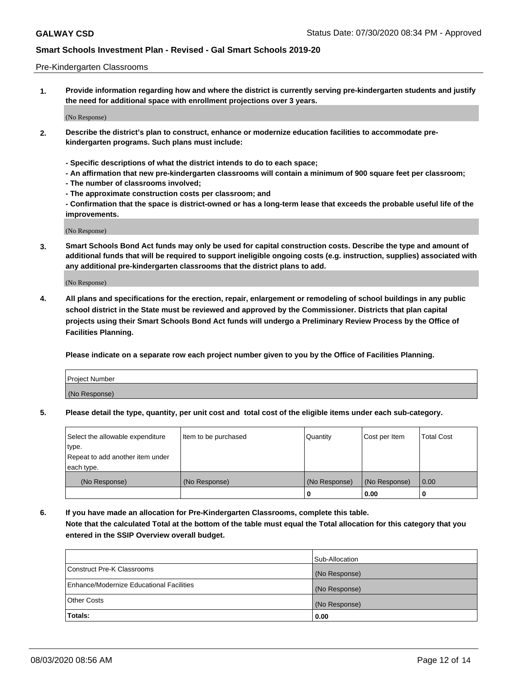### Pre-Kindergarten Classrooms

**1. Provide information regarding how and where the district is currently serving pre-kindergarten students and justify the need for additional space with enrollment projections over 3 years.**

(No Response)

- **2. Describe the district's plan to construct, enhance or modernize education facilities to accommodate prekindergarten programs. Such plans must include:**
	- **Specific descriptions of what the district intends to do to each space;**
	- **An affirmation that new pre-kindergarten classrooms will contain a minimum of 900 square feet per classroom;**
	- **The number of classrooms involved;**
	- **The approximate construction costs per classroom; and**
	- **Confirmation that the space is district-owned or has a long-term lease that exceeds the probable useful life of the improvements.**

(No Response)

**3. Smart Schools Bond Act funds may only be used for capital construction costs. Describe the type and amount of additional funds that will be required to support ineligible ongoing costs (e.g. instruction, supplies) associated with any additional pre-kindergarten classrooms that the district plans to add.**

(No Response)

**4. All plans and specifications for the erection, repair, enlargement or remodeling of school buildings in any public school district in the State must be reviewed and approved by the Commissioner. Districts that plan capital projects using their Smart Schools Bond Act funds will undergo a Preliminary Review Process by the Office of Facilities Planning.**

**Please indicate on a separate row each project number given to you by the Office of Facilities Planning.**

| Project Number |  |
|----------------|--|
| (No Response)  |  |
|                |  |

**5. Please detail the type, quantity, per unit cost and total cost of the eligible items under each sub-category.**

| Select the allowable expenditure | Item to be purchased | Quantity      | Cost per Item | <b>Total Cost</b> |
|----------------------------------|----------------------|---------------|---------------|-------------------|
| type.                            |                      |               |               |                   |
| Repeat to add another item under |                      |               |               |                   |
| each type.                       |                      |               |               |                   |
| (No Response)                    | (No Response)        | (No Response) | (No Response) | 0.00              |
|                                  |                      | U             | 0.00          |                   |

**6. If you have made an allocation for Pre-Kindergarten Classrooms, complete this table. Note that the calculated Total at the bottom of the table must equal the Total allocation for this category that you entered in the SSIP Overview overall budget.**

|                                          | Sub-Allocation |
|------------------------------------------|----------------|
| Construct Pre-K Classrooms               | (No Response)  |
| Enhance/Modernize Educational Facilities | (No Response)  |
| <b>Other Costs</b>                       | (No Response)  |
| Totals:                                  | 0.00           |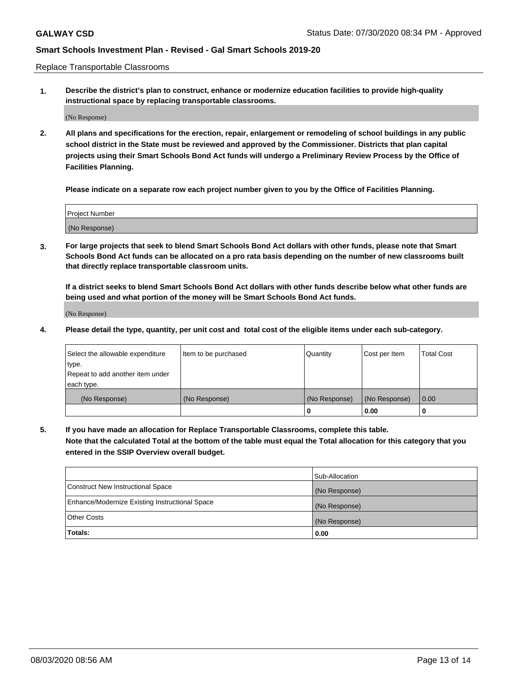Replace Transportable Classrooms

**1. Describe the district's plan to construct, enhance or modernize education facilities to provide high-quality instructional space by replacing transportable classrooms.**

(No Response)

**2. All plans and specifications for the erection, repair, enlargement or remodeling of school buildings in any public school district in the State must be reviewed and approved by the Commissioner. Districts that plan capital projects using their Smart Schools Bond Act funds will undergo a Preliminary Review Process by the Office of Facilities Planning.**

**Please indicate on a separate row each project number given to you by the Office of Facilities Planning.**

| Project Number |  |
|----------------|--|
|                |  |
|                |  |
|                |  |
|                |  |
| (No Response)  |  |
|                |  |
|                |  |
|                |  |

**3. For large projects that seek to blend Smart Schools Bond Act dollars with other funds, please note that Smart Schools Bond Act funds can be allocated on a pro rata basis depending on the number of new classrooms built that directly replace transportable classroom units.**

**If a district seeks to blend Smart Schools Bond Act dollars with other funds describe below what other funds are being used and what portion of the money will be Smart Schools Bond Act funds.**

(No Response)

**4. Please detail the type, quantity, per unit cost and total cost of the eligible items under each sub-category.**

| Select the allowable expenditure | Item to be purchased | Quantity      | Cost per Item | Total Cost |
|----------------------------------|----------------------|---------------|---------------|------------|
| ∣type.                           |                      |               |               |            |
| Repeat to add another item under |                      |               |               |            |
| each type.                       |                      |               |               |            |
| (No Response)                    | (No Response)        | (No Response) | (No Response) | 0.00       |
|                                  |                      | u             | 0.00          |            |

**5. If you have made an allocation for Replace Transportable Classrooms, complete this table. Note that the calculated Total at the bottom of the table must equal the Total allocation for this category that you entered in the SSIP Overview overall budget.**

|                                                | Sub-Allocation |
|------------------------------------------------|----------------|
| Construct New Instructional Space              | (No Response)  |
| Enhance/Modernize Existing Instructional Space | (No Response)  |
| Other Costs                                    | (No Response)  |
| Totals:                                        | 0.00           |